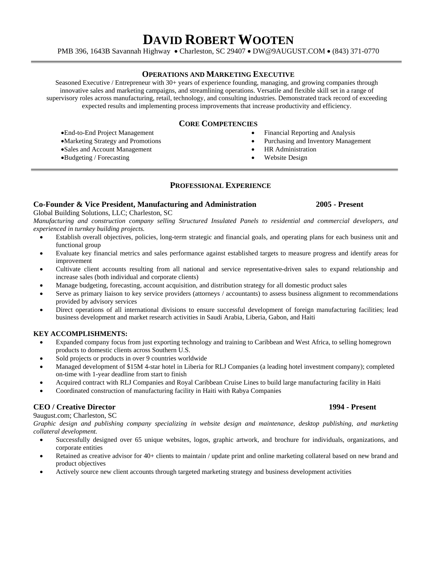# **DAVID ROBERT WOOTEN**

PMB 396, 1643B Savannah Highway · Charleston, SC 29407 · DW@9AUGUST.COM · (843) 371-0770

### **OPERATIONS AND MARKETING EXECUTIVE**

Seasoned Executive / Entrepreneur with 30+ years of experience founding, managing, and growing companies through innovative sales and marketing campaigns, and streamlining operations. Versatile and flexible skill set in a range of supervisory roles across manufacturing, retail, technology, and consulting industries. Demonstrated track record of exceeding expected results and implementing process improvements that increase productivity and efficiency.

# **CORE COMPETENCIES**

- End-to-End Project Management
- Marketing Strategy and Promotions
- Sales and Account Management
- Budgeting / Forecasting
- Financial Reporting and Analysis
- Purchasing and Inventory Management
- HR Administration
- Website Design

## **PROFESSIONAL EXPERIENCE**

### **Co-Founder & Vice President, Manufacturing and Administration 2005 - Present**

Global Building Solutions, LLC; Charleston, SC

*Manufacturing and construction company selling Structured Insulated Panels to residential and commercial developers, and experienced in turnkey building projects.* 

- Establish overall objectives, policies, long-term strategic and financial goals, and operating plans for each business unit and functional group
- Evaluate key financial metrics and sales performance against established targets to measure progress and identify areas for improvement
- Cultivate client accounts resulting from all national and service representative-driven sales to expand relationship and increase sales (both individual and corporate clients)
- Manage budgeting, forecasting, account acquisition, and distribution strategy for all domestic product sales
- Serve as primary liaison to key service providers (attorneys / accountants) to assess business alignment to recommendations provided by advisory services
- Direct operations of all international divisions to ensure successful development of foreign manufacturing facilities; lead business development and market research activities in Saudi Arabia, Liberia, Gabon, and Haiti

### **KEY ACCOMPLISHMENTS:**

- Expanded company focus from just exporting technology and training to Caribbean and West Africa, to selling homegrown products to domestic clients across Southern U.S.
- Sold projects or products in over 9 countries worldwide
- Managed development of \$15M 4-star hotel in Liberia for RLJ Companies (a leading hotel investment company); completed on-time with 1-year deadline from start to finish
- Acquired contract with RLJ Companies and Royal Caribbean Cruise Lines to build large manufacturing facility in Haiti
- Coordinated construction of manufacturing facility in Haiti with Rabya Companies

### **CEO / Creative Director 1994 - Present**

9august.com; Charleston, SC

*Graphic design and publishing company specializing in website design and maintenance, desktop publishing, and marketing collateral development.* 

- Successfully designed over 65 unique websites, logos, graphic artwork, and brochure for individuals, organizations, and corporate entities
- Retained as creative advisor for 40+ clients to maintain / update print and online marketing collateral based on new brand and product objectives
- Actively source new client accounts through targeted marketing strategy and business development activities